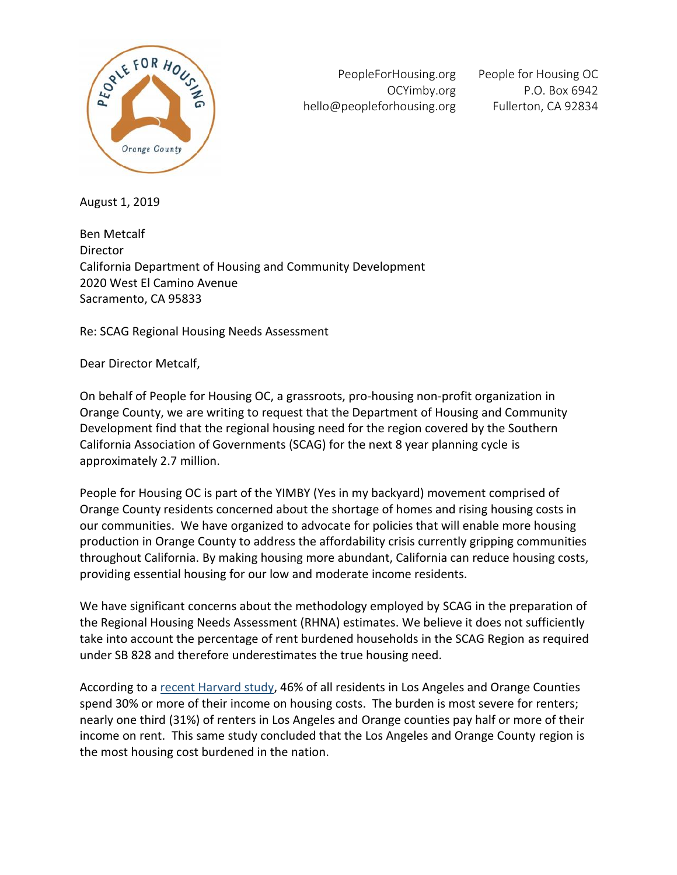

PeopleForHousing.org OCYimby.org hello@peopleforhousing.org

People for Housing OC P.O. Box 6942 Fullerton, CA 92834

August 1, 2019

Ben Metcalf Director California Department of Housing and Community Development 2020 West El Camino Avenue Sacramento, CA 95833

Re: SCAG Regional Housing Needs Assessment

Dear Director Metcalf,

On behalf of People for Housing OC, a grassroots, pro-housing non-profit organization in Orange County, we are writing to request that the Department of Housing and Community Development find that the regional housing need for the region covered by the Southern California Association of Governments (SCAG) for the next 8 year planning cycle is approximately 2.7 million.

People for Housing OC is part of the YIMBY (Yes in my backyard) movement comprised of Orange County residents concerned about the shortage of homes and rising housing costs in our communities. We have organized to advocate for policies that will enable more housing production in Orange County to address the affordability crisis currently gripping communities throughout California. By making housing more abundant, California can reduce housing costs, providing essential housing for our low and moderate income residents.

We have significant concerns about the methodology employed by SCAG in the preparation of the Regional Housing Needs Assessment (RHNA) estimates. We believe it does not sufficiently take into account the percentage of rent burdened households in the SCAG Region as required under SB 828 and therefore underestimates the true housing need.

According to a recent Harvard study, 46% of all residents in Los Angeles and Orange Counties spend 30% or more of their income on housing costs. The burden is most severe for renters; nearly one third (31%) of renters in Los Angeles and Orange counties pay half or more of their income on rent. This same study concluded that the Los Angeles and Orange County region is the most housing cost burdened in the nation.